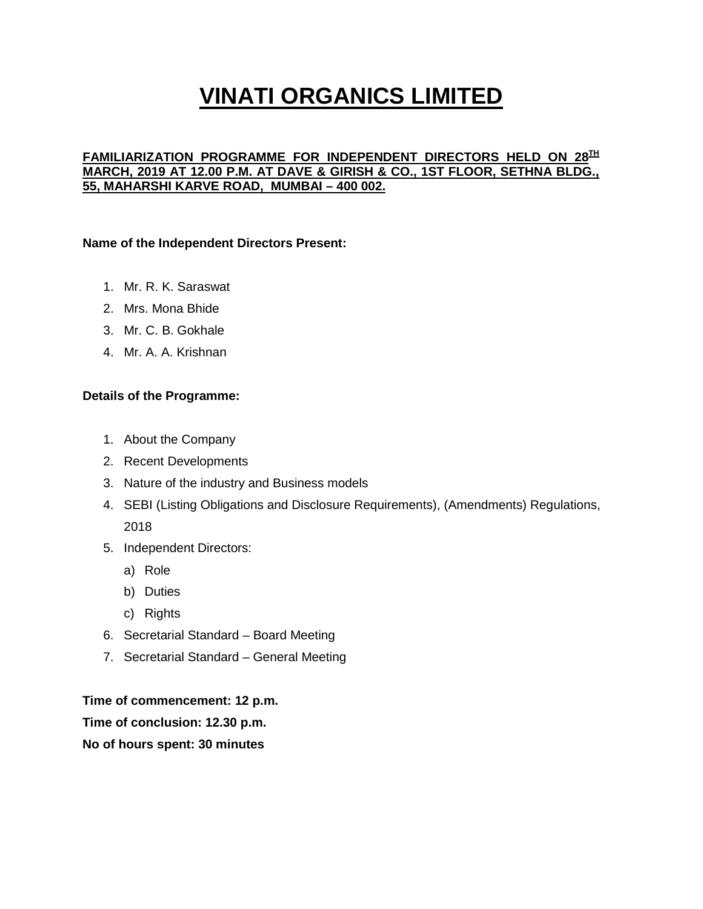### **FAMILIARIZATION PROGRAMME FOR INDEPENDENT DIRECTORS HELD ON 28TH MARCH, 2019 AT 12.00 P.M. AT DAVE & GIRISH & CO., 1ST FLOOR, SETHNA BLDG., 55, MAHARSHI KARVE ROAD, MUMBAI – 400 002.**

### **Name of the Independent Directors Present:**

- 1. Mr. R. K. Saraswat
- 2. Mrs. Mona Bhide
- 3. Mr. C. B. Gokhale
- 4. Mr. A. A. Krishnan

#### **Details of the Programme:**

- 1. About the Company
- 2. Recent Developments
- 3. Nature of the industry and Business models
- 4. SEBI (Listing Obligations and Disclosure Requirements), (Amendments) Regulations, 2018
- 5. Independent Directors:
	- a) Role
	- b) Duties
	- c) Rights
- 6. Secretarial Standard Board Meeting
- 7. Secretarial Standard General Meeting

#### **Time of commencement: 12 p.m.**

**Time of conclusion: 12.30 p.m.**

#### **No of hours spent: 30 minutes**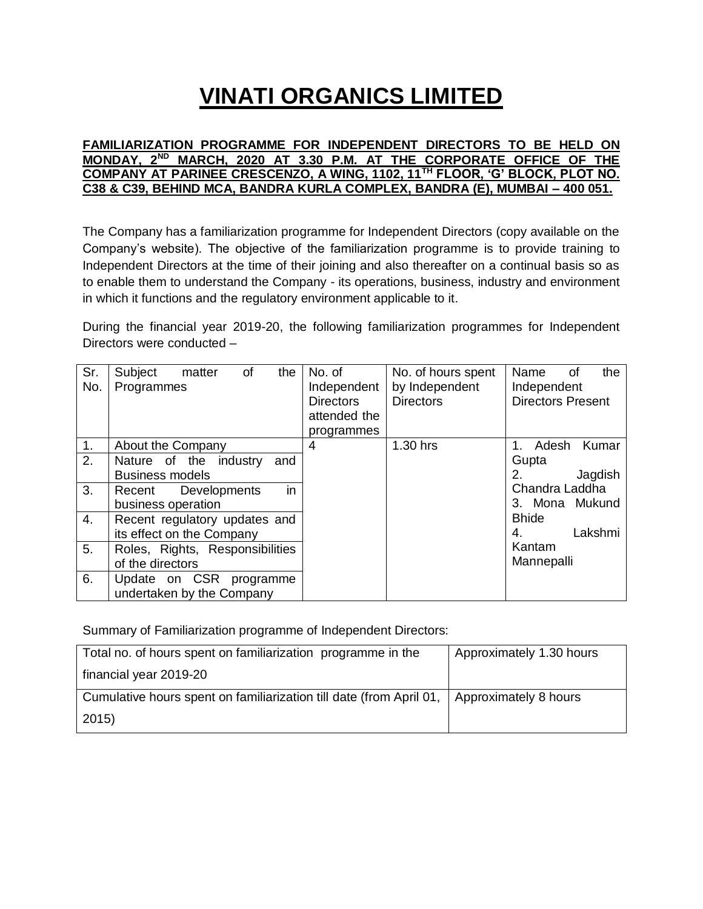### **FAMILIARIZATION PROGRAMME FOR INDEPENDENT DIRECTORS TO BE HELD ON MONDAY, 2ND MARCH, 2020 AT 3.30 P.M. AT THE CORPORATE OFFICE OF THE COMPANY AT PARINEE CRESCENZO, A WING, 1102, 11TH FLOOR, 'G' BLOCK, PLOT NO. C38 & C39, BEHIND MCA, BANDRA KURLA COMPLEX, BANDRA (E), MUMBAI – 400 051.**

The Company has a familiarization programme for Independent Directors (copy available on the Company's website). The objective of the familiarization programme is to provide training to Independent Directors at the time of their joining and also thereafter on a continual basis so as to enable them to understand the Company - its operations, business, industry and environment in which it functions and the regulatory environment applicable to it.

During the financial year 2019-20, the following familiarization programmes for Independent Directors were conducted –

| Sr.<br>No.     | Subject<br>of<br>the<br>matter<br>Programmes | No. of<br>Independent<br><b>Directors</b><br>attended the<br>programmes | No. of hours spent<br>by Independent<br><b>Directors</b> | Name<br>the<br>of<br>Independent<br><b>Directors Present</b> |
|----------------|----------------------------------------------|-------------------------------------------------------------------------|----------------------------------------------------------|--------------------------------------------------------------|
| 1.             | About the Company                            | 4                                                                       | 1.30 hrs                                                 | Adesh<br>Kumar                                               |
| 2.             | Nature of the industry<br>and                |                                                                         |                                                          | Gupta                                                        |
|                | <b>Business models</b>                       |                                                                         |                                                          | Jagdish<br>2.                                                |
| 3.             | in<br>Recent Developments                    |                                                                         |                                                          | Chandra Laddha                                               |
|                | business operation                           |                                                                         |                                                          | 3. Mona Mukund                                               |
| 4.             | Recent regulatory updates and                |                                                                         |                                                          | <b>Bhide</b>                                                 |
|                | its effect on the Company                    |                                                                         |                                                          | Lakshmi<br>4.                                                |
| 5 <sub>1</sub> | Roles, Rights, Responsibilities              |                                                                         |                                                          | Kantam                                                       |
|                | of the directors                             |                                                                         |                                                          | Mannepalli                                                   |
| 6.             | Update on CSR programme                      |                                                                         |                                                          |                                                              |
|                | undertaken by the Company                    |                                                                         |                                                          |                                                              |

Summary of Familiarization programme of Independent Directors:

| Total no. of hours spent on familiarization programme in the        | Approximately 1.30 hours |
|---------------------------------------------------------------------|--------------------------|
| financial year 2019-20                                              |                          |
| Cumulative hours spent on familiarization till date (from April 01, | Approximately 8 hours    |
| $ 2015\rangle$                                                      |                          |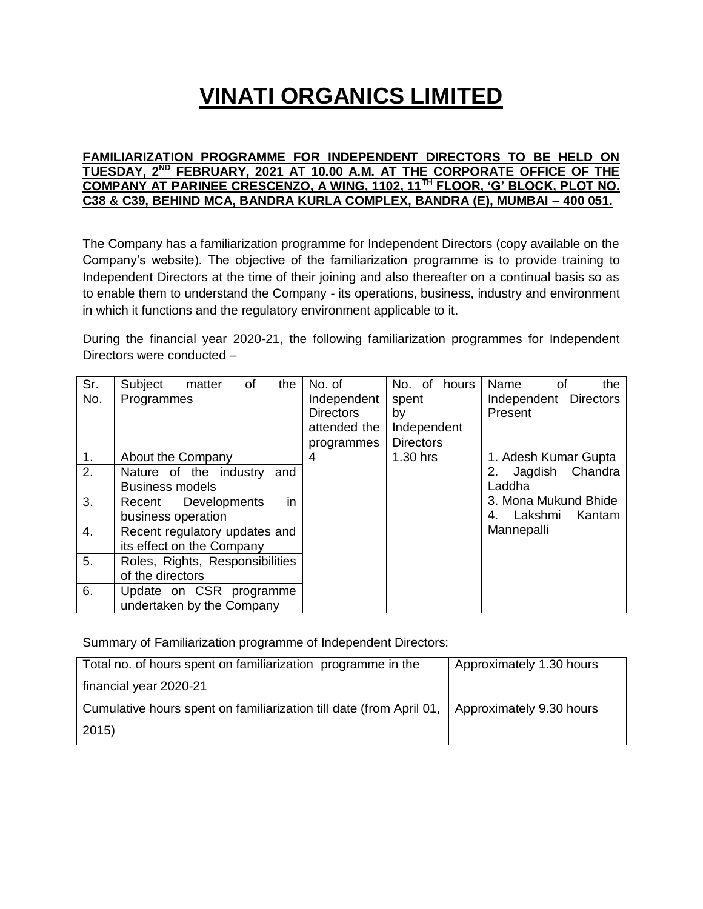### **FAMILIARIZATION PROGRAMME FOR INDEPENDENT DIRECTORS TO BE HELD ON TUESDAY, 2ND FEBRUARY, 2021 AT 10.00 A.M. AT THE CORPORATE OFFICE OF THE COMPANY AT PARINEE CRESCENZO, A WING, 1102, 11TH FLOOR, 'G' BLOCK, PLOT NO. C38 & C39, BEHIND MCA, BANDRA KURLA COMPLEX, BANDRA (E), MUMBAI – 400 051.**

The Company has a familiarization programme for Independent Directors (copy available on the Company's website). The objective of the familiarization programme is to provide training to Independent Directors at the time of their joining and also thereafter on a continual basis so as to enable them to understand the Company - its operations, business, industry and environment in which it functions and the regulatory environment applicable to it.

During the financial year 2020-21, the following familiarization programmes for Independent Directors were conducted –

| Sr.              | Subject<br>of<br>the<br>matter  | No. of           | No. of<br>hours  | Name<br>the<br>οf        |
|------------------|---------------------------------|------------------|------------------|--------------------------|
| No.              | Programmes                      | Independent      | spent            | Independent Directors    |
|                  |                                 | <b>Directors</b> | by               | Present                  |
|                  |                                 | attended the     | Independent      |                          |
|                  |                                 | programmes       | <b>Directors</b> |                          |
| $\overline{1}$ . | About the Company               | 4                | 1.30 hrs         | 1. Adesh Kumar Gupta     |
| 2.               | Nature of the industry<br>and   |                  |                  | Chandra<br>Jagdish<br>2. |
|                  | <b>Business models</b>          |                  |                  | Laddha                   |
| 3.               | in<br>Recent Developments       |                  |                  | 3. Mona Mukund Bhide     |
|                  | business operation              |                  |                  | Lakshmi<br>Kantam<br>4.  |
| 4.               | Recent regulatory updates and   |                  |                  | Mannepalli               |
|                  | its effect on the Company       |                  |                  |                          |
| 5.               | Roles, Rights, Responsibilities |                  |                  |                          |
|                  | of the directors                |                  |                  |                          |
| 6.               | Update on CSR programme         |                  |                  |                          |
|                  | undertaken by the Company       |                  |                  |                          |

Summary of Familiarization programme of Independent Directors:

| Total no. of hours spent on familiarization programme in the        | Approximately 1.30 hours |
|---------------------------------------------------------------------|--------------------------|
| financial year 2020-21                                              |                          |
| Cumulative hours spent on familiarization till date (from April 01, | Approximately 9.30 hours |
| 2015)                                                               |                          |